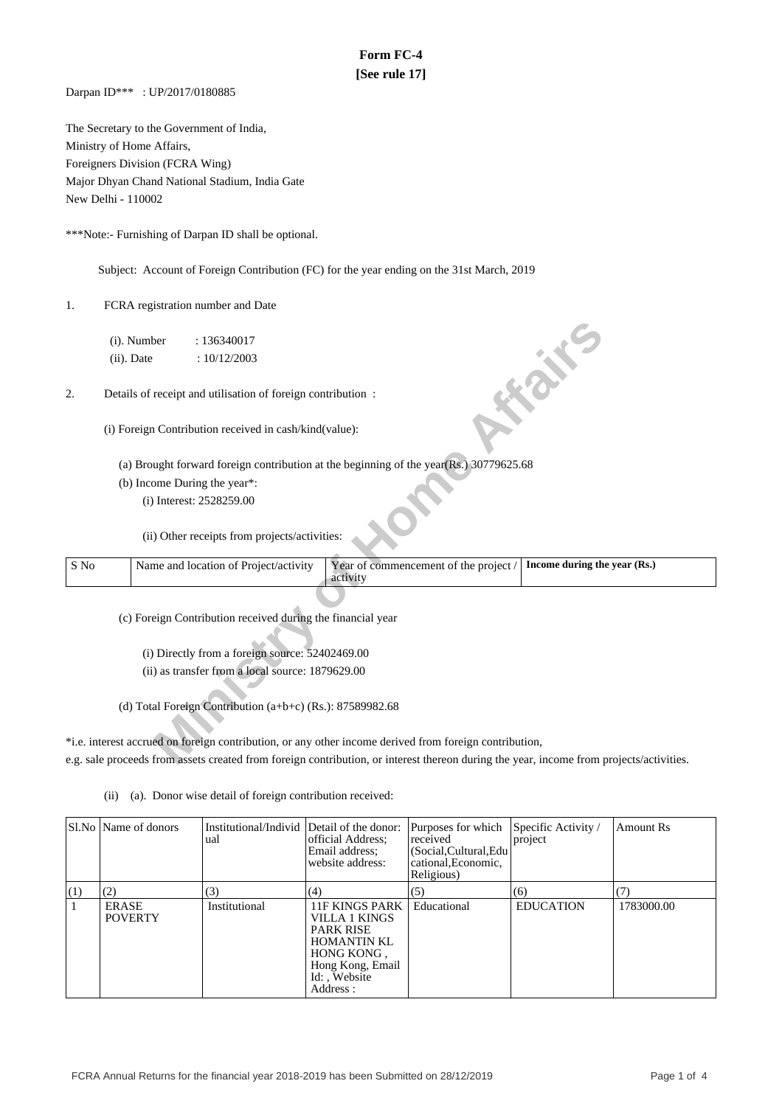## **Form FC-4 [See rule 17]**

Darpan ID\*\*\* : UP/2017/0180885

The Secretary to the Government of India, Ministry of Home Affairs, Foreigners Division (FCRA Wing) Major Dhyan Chand National Stadium, India Gate New Delhi - 110002

\*\*\*Note:- Furnishing of Darpan ID shall be optional.

Subject: Account of Foreign Contribution (FC) for the year ending on the 31st March, 2019

1. FCRA registration number and Date

- (a) Brought forward foreign contribution at the beginning of the year(Rs.) 30779625.68
- (b) Income During the year\*:

|      |               | (i). Number | : 136340017                                                 |                                                                                                                                         |                              |
|------|---------------|-------------|-------------------------------------------------------------|-----------------------------------------------------------------------------------------------------------------------------------------|------------------------------|
|      | $(ii)$ . Date |             | : 10/12/2003                                                |                                                                                                                                         |                              |
| 2.   |               |             | Details of receipt and utilisation of foreign contribution: |                                                                                                                                         | <b>FORE</b>                  |
|      |               |             | (i) Foreign Contribution received in cash/kind(value):      |                                                                                                                                         |                              |
|      |               |             |                                                             | (a) Brought forward foreign contribution at the beginning of the year(Rs.) 30779625.68                                                  |                              |
|      |               |             | (b) Income During the year*:                                |                                                                                                                                         |                              |
|      |               |             | (i) Interest: 2528259.00                                    |                                                                                                                                         |                              |
|      |               |             | (ii) Other receipts from projects/activities:               |                                                                                                                                         |                              |
| S No |               |             | Name and location of Project/activity                       | Year of commencement of the project /<br>activity                                                                                       | Income during the year (Rs.) |
|      |               |             |                                                             |                                                                                                                                         |                              |
|      |               |             | (c) Foreign Contribution received during the financial year |                                                                                                                                         |                              |
|      |               |             |                                                             |                                                                                                                                         |                              |
|      |               |             | (i) Directly from a foreign source: 52402469.00             |                                                                                                                                         |                              |
|      |               |             | (ii) as transfer from a local source: 1879629.00            |                                                                                                                                         |                              |
|      |               |             |                                                             |                                                                                                                                         |                              |
|      |               |             | (d) Total Foreign Contribution $(a+b+c)$ (Rs.): 87589982.68 |                                                                                                                                         |                              |
|      |               |             |                                                             |                                                                                                                                         |                              |
|      |               |             |                                                             | *i.e. interest accrued on foreign contribution, or any other income derived from foreign contribution,                                  |                              |
|      |               |             |                                                             | e.g. sale proceeds from assets created from foreign contribution, or interest thereon during the year, income from projects/activities. |                              |

\*i.e. interest accrued on foreign contribution, or any other income derived from foreign contribution, e.g. sale proceeds from assets created from foreign contribution, or interest thereon during the year, income from projects/activities.

(ii) (a). Donor wise detail of foreign contribution received:

|            | Sl.No   Name of donors         | Institutional/Individ Detail of the donor:<br>ual | official Address;<br>Email address;<br>website address:                                                                                         | Purposes for which<br>received<br>(Social, Cultural, Edu<br>cational, Economic,<br>Religious) | Specific Activity /<br>project | Amount Rs  |
|------------|--------------------------------|---------------------------------------------------|-------------------------------------------------------------------------------------------------------------------------------------------------|-----------------------------------------------------------------------------------------------|--------------------------------|------------|
| $\vert(1)$ | (2)                            | (3)                                               | (4)                                                                                                                                             | (5)                                                                                           | (6)                            | (7)        |
|            | <b>ERASE</b><br><b>POVERTY</b> | Institutional                                     | <b>11F KINGS PARK</b><br>VILLA 1 KINGS<br><b>PARK RISE</b><br><b>HOMANTIN KL</b><br>HONG KONG,<br>Hong Kong, Email<br>Id:, Website<br>Address : | Educational                                                                                   | <b>EDUCATION</b>               | 1783000.00 |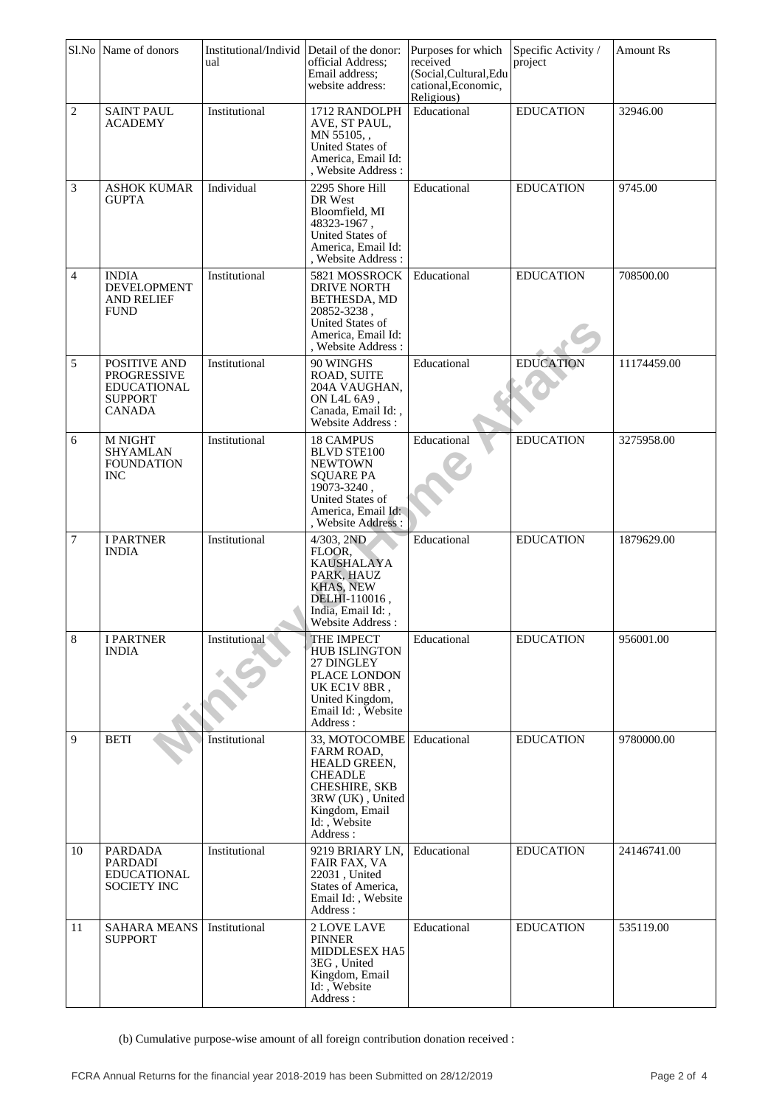|                | Sl.No Name of donors                                                                        | Institutional/Individ<br>ual | Detail of the donor:<br>official Address;<br>Email address;<br>website address:                                                                             | Purposes for which<br>received<br>(Social, Cultural, Edu<br>cational, Economic,<br>Religious) | Specific Activity /<br>project | <b>Amount Rs</b> |
|----------------|---------------------------------------------------------------------------------------------|------------------------------|-------------------------------------------------------------------------------------------------------------------------------------------------------------|-----------------------------------------------------------------------------------------------|--------------------------------|------------------|
| $\sqrt{2}$     | <b>SAINT PAUL</b><br><b>ACADEMY</b>                                                         | Institutional                | 1712 RANDOLPH<br>AVE, ST PAUL,<br>MN 55105,<br>United States of<br>America, Email Id:<br>, Website Address :                                                | Educational                                                                                   | <b>EDUCATION</b>               | 32946.00         |
| 3              | <b>ASHOK KUMAR</b><br><b>GUPTA</b>                                                          | Individual                   | 2295 Shore Hill<br>DR West<br>Bloomfield, MI<br>48323-1967,<br>United States of<br>America, Email Id:<br>, Website Address:                                 | Educational                                                                                   | <b>EDUCATION</b>               | 9745.00          |
| 4              | <b>INDIA</b><br><b>DEVELOPMENT</b><br><b>AND RELIEF</b><br><b>FUND</b>                      | Institutional                | 5821 MOSSROCK<br><b>DRIVE NORTH</b><br>BETHESDA, MD<br>20852-3238,<br>United States of<br>America, Email Id:<br>, Website Address :                         | Educational                                                                                   | <b>EDUCATION</b>               | 708500.00        |
| 5              | POSITIVE AND<br><b>PROGRESSIVE</b><br><b>EDUCATIONAL</b><br><b>SUPPORT</b><br><b>CANADA</b> | Institutional                | 90 WINGHS<br>ROAD, SUITE<br>204A VAUGHAN,<br>ON L4L 6A9,<br>Canada, Email Id:,<br>Website Address:                                                          | Educational                                                                                   | <b>EDUCATION</b>               | 11174459.00      |
| 6              | M NIGHT<br><b>SHYAMLAN</b><br><b>FOUNDATION</b><br><b>INC</b>                               | Institutional                | <b>18 CAMPUS</b><br><b>BLVD STE100</b><br><b>NEWTOWN</b><br><b>SQUARE PA</b><br>19073-3240,<br>United States of<br>America, Email Id:<br>, Website Address: | Educational                                                                                   | <b>EDUCATION</b>               | 3275958.00       |
| 7              | <b>I PARTNER</b><br><b>INDIA</b>                                                            | Institutional                | 4/303, 2ND<br>FLOOR.<br><b>KAUSHALAYA</b><br>PARK, HAUZ<br>KHAS, NEW<br>DELHI-110016,<br>India, Email Id:,<br>Website Address:                              | Educational                                                                                   | <b>EDUCATION</b>               | 1879629.00       |
| $\,8\,$        | <b>I PARTNER</b><br><b>INDIA</b>                                                            | Institutional                | THE IMPECT<br><b>HUB ISLINGTON</b><br>27 DINGLEY<br>PLACE LONDON<br>UK EC1V 8BR,<br>United Kingdom,<br>Email Id:, Website<br>Address:                       | Educational                                                                                   | <b>EDUCATION</b>               | 956001.00        |
| $\overline{9}$ | <b>BETI</b>                                                                                 | Institutional                | 33, MOTOCOMBE<br>FARM ROAD,<br>HEALD GREEN,<br><b>CHEADLE</b><br><b>CHESHIRE, SKB</b><br>3RW (UK), United<br>Kingdom, Email<br>Id: Website<br>Address:      | Educational                                                                                   | <b>EDUCATION</b>               | 9780000.00       |
| 10             | PARDADA<br>PARDADI<br><b>EDUCATIONAL</b><br>SOCIETY INC                                     | Institutional                | 9219 BRIARY LN,<br><b>FAIR FAX, VA</b><br>22031, United<br>States of America,<br>Email Id:, Website<br>Address:                                             | Educational                                                                                   | <b>EDUCATION</b>               | 24146741.00      |
| 11             | <b>SAHARA MEANS</b><br><b>SUPPORT</b>                                                       | Institutional                | 2 LOVE LAVE<br><b>PINNER</b><br>MIDDLESEX HA5<br>3EG, United<br>Kingdom, Email<br>Id:, Website<br>Address:                                                  | Educational                                                                                   | <b>EDUCATION</b>               | 535119.00        |

(b) Cumulative purpose-wise amount of all foreign contribution donation received :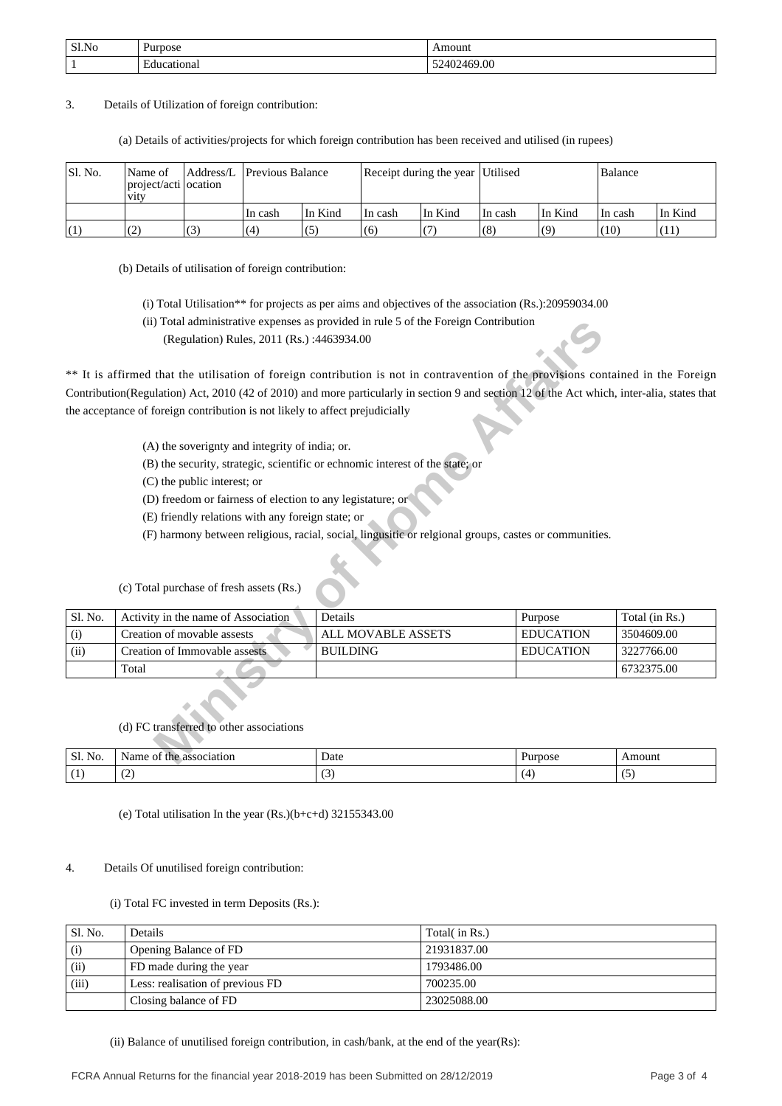| Sl.No | Purpose          | ⊾mount      |
|-------|------------------|-------------|
|       | Educational<br>. | 52402469.00 |

3. Details of Utilization of foreign contribution:

(a) Details of activities/projects for which foreign contribution has been received and utilised (in rupees)

| Sl. No. | Name of<br>project/acti ocation<br><b>V1tV</b> | Address/L Previous Balance |         | Receipt during the year Utilised |         |         |         |         | Balance |  |
|---------|------------------------------------------------|----------------------------|---------|----------------------------------|---------|---------|---------|---------|---------|--|
|         |                                                | In cash                    | In Kind | In cash                          | In Kind | In cash | In Kind | In cash | In Kind |  |
| (1)     |                                                | (4)                        | (5)     | (6)                              |         | (8)     | (9)     | (10)    | (11)    |  |

(b) Details of utilisation of foreign contribution:

(i) Total Utilisation\*\* for projects as per aims and objectives of the association (Rs.):20959034.00

(ii) Total administrative expenses as provided in rule 5 of the Foreign Contribution

- (A) the soverignty and integrity of india; or.
- (B) the security, strategic, scientific or echnomic interest of the state; or
- (C) the public interest; or
- (D) freedom or fairness of election to any legistature; or
- (E) friendly relations with any foreign state; or
- (F) harmony between religious, racial, social, lingusitic or relgional groups, castes or communities.

|         |                                                                                                                                             | (ii) Total administrative expenses as provided in rule 5 of the Foreign Contribution                  |                  |                |
|---------|---------------------------------------------------------------------------------------------------------------------------------------------|-------------------------------------------------------------------------------------------------------|------------------|----------------|
|         | (Regulation) Rules, 2011 (Rs.):4463934.00                                                                                                   |                                                                                                       |                  |                |
|         | ** It is affirmed that the utilisation of foreign contribution is not in contravention of the provisions contained in the Foreign           |                                                                                                       |                  |                |
|         | Contribution(Regulation) Act, 2010 (42 of 2010) and more particularly in section 9 and section 12 of the Act which, inter-alia, states that |                                                                                                       |                  |                |
|         | the acceptance of foreign contribution is not likely to affect prejudicially                                                                |                                                                                                       |                  |                |
|         | (A) the soverignty and integrity of india; or.                                                                                              |                                                                                                       |                  |                |
|         | (B) the security, strategic, scientific or echnomic interest of the state; or                                                               |                                                                                                       |                  |                |
|         | (C) the public interest; or                                                                                                                 |                                                                                                       |                  |                |
|         | (D) freedom or fairness of election to any legistature; or                                                                                  |                                                                                                       |                  |                |
|         | (E) friendly relations with any foreign state; or                                                                                           |                                                                                                       |                  |                |
|         |                                                                                                                                             | (F) harmony between religious, racial, social, lingusitic or relgional groups, castes or communities. |                  |                |
|         | (c) Total purchase of fresh assets (Rs.)                                                                                                    |                                                                                                       |                  |                |
| Sl. No. | Activity in the name of Association                                                                                                         | Details                                                                                               | Purpose          | Total (in Rs.) |
| (i)     | Creation of movable assests                                                                                                                 | <b>ALL MOVABLE ASSETS</b>                                                                             | <b>EDUCATION</b> | 3504609.00     |
| (ii)    | Creation of Immovable assests                                                                                                               | <b>BUILDING</b>                                                                                       | <b>EDUCATION</b> | 3227766.00     |
|         | Total                                                                                                                                       |                                                                                                       |                  | 6732375.00     |
|         | (d) FC transferred to other associations                                                                                                    |                                                                                                       |                  |                |
| Sl. No. | Name of the association                                                                                                                     | Date                                                                                                  | Purpose          | Amount         |

# (c) Total purchase of fresh assets (Rs.)

| Sl.<br>NO    | occo<br>latior<br>י ורו<br>76<br>., | Date<br>. | האניי |     |
|--------------|-------------------------------------|-----------|-------|-----|
| $\mathbf{L}$ | $\tilde{\phantom{a}}$<br>$\sim$     | - -       |       | . . |

(e) Total utilisation In the year  $(Rs.)(b+c+d)$  32155343.00

#### 4. Details Of unutilised foreign contribution:

### (i) Total FC invested in term Deposits (Rs.):

| Sl. No. | Details                          | Total( in Rs.) |
|---------|----------------------------------|----------------|
| (i)     | Opening Balance of FD            | 21931837.00    |
| (ii)    | FD made during the year          | 1793486.00     |
| (iii)   | Less: realisation of previous FD | 700235.00      |
|         | Closing balance of FD            | 23025088.00    |

(ii) Balance of unutilised foreign contribution, in cash/bank, at the end of the year(Rs):